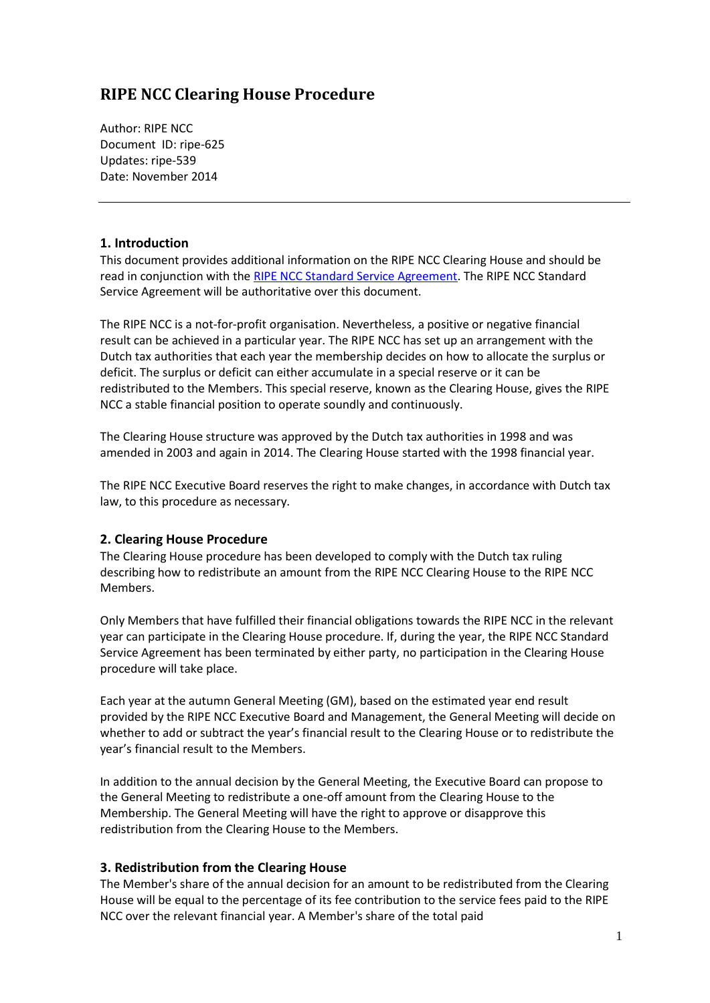## **RIPE NCC Clearing House Procedure**

Author: RIPE NCC Document ID: ripe-625 Updates: ripe-539 Date: November 2014

## **1. Introduction**

This document provides additional information on the RIPE NCC Clearing House and should be read in conjunction with the [RIPE NCC Standard](https://www.ripe.net/ripe/docs/service-agreement) Service Agreement. The RIPE NCC Standard Service Agreement will be authoritative over this document.

The RIPE NCC is a not-for-profit organisation. Nevertheless, a positive or negative financial result can be achieved in a particular year. The RIPE NCC has set up an arrangement with the Dutch tax authorities that each year the membership decides on how to allocate the surplus or deficit. The surplus or deficit can either accumulate in a special reserve or it can be redistributed to the Members. This special reserve, known as the Clearing House, gives the RIPE NCC a stable financial position to operate soundly and continuously.

The Clearing House structure was approved by the Dutch tax authorities in 1998 and was amended in 2003 and again in 2014. The Clearing House started with the 1998 financial year.

The RIPE NCC Executive Board reserves the right to make changes, in accordance with Dutch tax law, to this procedure as necessary.

## **2. Clearing House Procedure**

The Clearing House procedure has been developed to comply with the Dutch tax ruling describing how to redistribute an amount from the RIPE NCC Clearing House to the RIPE NCC Members.

Only Members that have fulfilled their financial obligations towards the RIPE NCC in the relevant year can participate in the Clearing House procedure. If, during the year, the RIPE NCC Standard Service Agreement has been terminated by either party, no participation in the Clearing House procedure will take place.

Each year at the autumn General Meeting (GM), based on the estimated year end result provided by the RIPE NCC Executive Board and Management, the General Meeting will decide on whether to add or subtract the year's financial result to the Clearing House or to redistribute the year's financial result to the Members.

In addition to the annual decision by the General Meeting, the Executive Board can propose to the General Meeting to redistribute a one-off amount from the Clearing House to the Membership. The General Meeting will have the right to approve or disapprove this redistribution from the Clearing House to the Members.

## **3. Redistribution from the Clearing House**

The Member's share of the annual decision for an amount to be redistributed from the Clearing House will be equal to the percentage of its fee contribution to the service fees paid to the RIPE NCC over the relevant financial year. A Member's share of the total paid